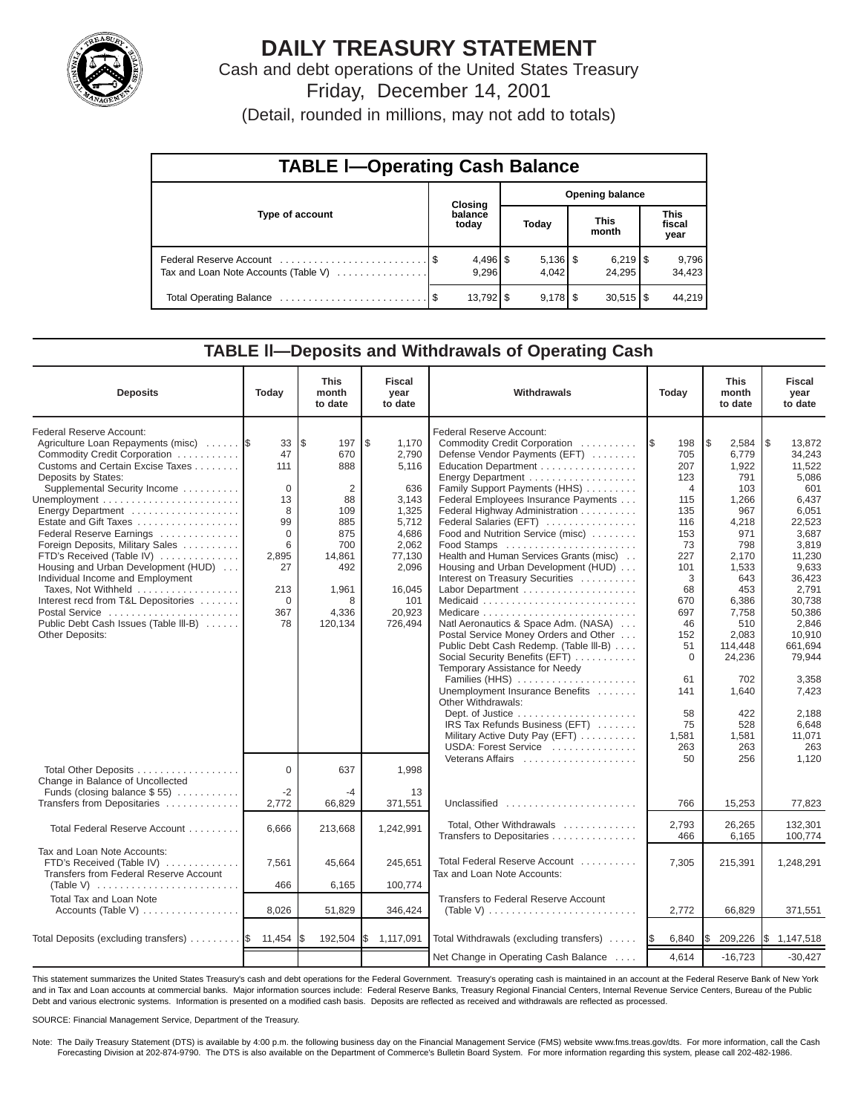

# **DAILY TREASURY STATEMENT**

Cash and debt operations of the United States Treasury Friday, December 14, 2001

(Detail, rounded in millions, may not add to totals)

| <b>TABLE I-Operating Cash Balance</b> |  |                        |                        |                     |                      |                        |                               |                 |  |  |
|---------------------------------------|--|------------------------|------------------------|---------------------|----------------------|------------------------|-------------------------------|-----------------|--|--|
|                                       |  | Closing                | <b>Opening balance</b> |                     |                      |                        |                               |                 |  |  |
| Type of account                       |  | balance<br>today       | Today                  |                     | <b>This</b><br>month |                        | <b>This</b><br>fiscal<br>year |                 |  |  |
| Tax and Loan Note Accounts (Table V)  |  | $4,496$ \$<br>9,296    |                        | $5,136$ \$<br>4.042 |                      | 24.295                 |                               | 9,796<br>34,423 |  |  |
|                                       |  | $13,792$ $\frac{1}{3}$ |                        | $9,178$ \$          |                      | $30,515$ $\frac{1}{3}$ |                               | 44.219          |  |  |

### **TABLE ll—Deposits and Withdrawals of Operating Cash**

| <b>Deposits</b>                                                                                                                                                                                                                                                                                                                                                                                                                                                                                                                                             | Today                                                                                                        | <b>This</b><br>month<br>to date                                                                                                 | <b>Fiscal</b><br>year<br>to date                                                                                                             | Withdrawals                                                                                                                                                                                                                                                                                                                                                                                                                                                                                                                                                                                                                                                                                                                                                                                                                                                        | Today                                                                                                                                                                                                       | <b>This</b><br>month<br>to date                                                                                                                                                                                                 | <b>Fiscal</b><br>year<br>to date                                                                                                                                                                                                                              |
|-------------------------------------------------------------------------------------------------------------------------------------------------------------------------------------------------------------------------------------------------------------------------------------------------------------------------------------------------------------------------------------------------------------------------------------------------------------------------------------------------------------------------------------------------------------|--------------------------------------------------------------------------------------------------------------|---------------------------------------------------------------------------------------------------------------------------------|----------------------------------------------------------------------------------------------------------------------------------------------|--------------------------------------------------------------------------------------------------------------------------------------------------------------------------------------------------------------------------------------------------------------------------------------------------------------------------------------------------------------------------------------------------------------------------------------------------------------------------------------------------------------------------------------------------------------------------------------------------------------------------------------------------------------------------------------------------------------------------------------------------------------------------------------------------------------------------------------------------------------------|-------------------------------------------------------------------------------------------------------------------------------------------------------------------------------------------------------------|---------------------------------------------------------------------------------------------------------------------------------------------------------------------------------------------------------------------------------|---------------------------------------------------------------------------------------------------------------------------------------------------------------------------------------------------------------------------------------------------------------|
| Federal Reserve Account:<br>Agriculture Loan Repayments (misc)<br>Commodity Credit Corporation<br>Customs and Certain Excise Taxes<br>Deposits by States:<br>Supplemental Security Income<br>Energy Department<br>Estate and Gift Taxes<br>Federal Reserve Earnings<br>Foreign Deposits, Military Sales<br>FTD's Received (Table IV)<br>Housing and Urban Development (HUD)<br>Individual Income and Employment<br>Taxes, Not Withheld<br>Interest recd from T&L Depositories<br>Postal Service<br>Public Debt Cash Issues (Table III-B)<br>Other Deposits: | 33<br>47<br>111<br>$\Omega$<br>13<br>8<br>99<br>$\Omega$<br>6<br>2,895<br>27<br>213<br>$\Omega$<br>367<br>78 | l\$<br>197<br>670<br>888<br>$\overline{2}$<br>88<br>109<br>885<br>875<br>700<br>14.861<br>492<br>1,961<br>8<br>4,336<br>120,134 | l \$<br>1,170<br>2,790<br>5,116<br>636<br>3.143<br>1.325<br>5,712<br>4,686<br>2,062<br>77,130<br>2,096<br>16,045<br>101<br>20,923<br>726,494 | Federal Reserve Account:<br>Commodity Credit Corporation<br>Defense Vendor Payments (EFT)<br>Education Department<br>Energy Department<br>Family Support Payments (HHS)<br>Federal Employees Insurance Payments<br>Federal Highway Administration<br>Federal Salaries (EFT)<br>Food and Nutrition Service (misc)<br>Food Stamps<br>Health and Human Services Grants (misc)<br>Housing and Urban Development (HUD)<br>Interest on Treasury Securities<br>Labor Department<br>Natl Aeronautics & Space Adm. (NASA)<br>Postal Service Money Orders and Other<br>Public Debt Cash Redemp. (Table III-B)<br>Social Security Benefits (EFT)<br>Temporary Assistance for Needy<br>Families (HHS)<br>Unemployment Insurance Benefits<br>Other Withdrawals:<br>IRS Tax Refunds Business (EFT)<br>Military Active Duty Pay (EFT)<br>USDA: Forest Service<br>Veterans Affairs | 198<br>1\$<br>705<br>207<br>123<br>$\overline{4}$<br>115<br>135<br>116<br>153<br>73<br>227<br>101<br>3<br>68<br>670<br>697<br>46<br>152<br>51<br>$\mathbf 0$<br>61<br>141<br>58<br>75<br>1,581<br>263<br>50 | Ι\$<br>2,584<br>6,779<br>1,922<br>791<br>103<br>1.266<br>967<br>4,218<br>971<br>798<br>2.170<br>1,533<br>643<br>453<br>6,386<br>7,758<br>510<br>2,083<br>114,448<br>24,236<br>702<br>1,640<br>422<br>528<br>1.581<br>263<br>256 | $\sqrt{3}$<br>13,872<br>34,243<br>11,522<br>5,086<br>601<br>6.437<br>6.051<br>22.523<br>3.687<br>3,819<br>11,230<br>9,633<br>36,423<br>2,791<br>30,738<br>50,386<br>2.846<br>10,910<br>661,694<br>79.944<br>3,358<br>7,423<br>2,188<br>6.648<br>11.071<br>263 |
| Total Other Deposits<br>Change in Balance of Uncollected<br>Funds (closing balance $$55$ )                                                                                                                                                                                                                                                                                                                                                                                                                                                                  | 0<br>$-2$                                                                                                    | 637<br>-4                                                                                                                       | 1,998<br>13                                                                                                                                  |                                                                                                                                                                                                                                                                                                                                                                                                                                                                                                                                                                                                                                                                                                                                                                                                                                                                    |                                                                                                                                                                                                             |                                                                                                                                                                                                                                 | 1,120                                                                                                                                                                                                                                                         |
| Transfers from Depositaries                                                                                                                                                                                                                                                                                                                                                                                                                                                                                                                                 | 2,772                                                                                                        | 66,829                                                                                                                          | 371,551                                                                                                                                      | Unclassified                                                                                                                                                                                                                                                                                                                                                                                                                                                                                                                                                                                                                                                                                                                                                                                                                                                       | 766                                                                                                                                                                                                         | 15,253                                                                                                                                                                                                                          | 77,823                                                                                                                                                                                                                                                        |
| Total Federal Reserve Account                                                                                                                                                                                                                                                                                                                                                                                                                                                                                                                               | 6.666                                                                                                        | 213,668                                                                                                                         | 1,242,991                                                                                                                                    | Total, Other Withdrawals<br>Transfers to Depositaries                                                                                                                                                                                                                                                                                                                                                                                                                                                                                                                                                                                                                                                                                                                                                                                                              | 2,793<br>466                                                                                                                                                                                                | 26,265<br>6,165                                                                                                                                                                                                                 | 132,301<br>100,774                                                                                                                                                                                                                                            |
| Tax and Loan Note Accounts:<br>FTD's Received (Table IV)<br>Transfers from Federal Reserve Account<br>(Table V) $\ldots \ldots \ldots \ldots \ldots \ldots \ldots$                                                                                                                                                                                                                                                                                                                                                                                          | 7.561<br>466                                                                                                 | 45,664<br>6,165                                                                                                                 | 245,651<br>100,774                                                                                                                           | Total Federal Reserve Account<br>Tax and Loan Note Accounts:                                                                                                                                                                                                                                                                                                                                                                                                                                                                                                                                                                                                                                                                                                                                                                                                       | 7,305                                                                                                                                                                                                       | 215,391                                                                                                                                                                                                                         | 1,248,291                                                                                                                                                                                                                                                     |
| Total Tax and Loan Note<br>Accounts (Table V)                                                                                                                                                                                                                                                                                                                                                                                                                                                                                                               | 8,026                                                                                                        | 51,829                                                                                                                          | 346,424                                                                                                                                      | <b>Transfers to Federal Reserve Account</b><br>(Table V) $\ldots \ldots \ldots \ldots \ldots \ldots \ldots \ldots$                                                                                                                                                                                                                                                                                                                                                                                                                                                                                                                                                                                                                                                                                                                                                 | 2,772                                                                                                                                                                                                       | 66,829                                                                                                                                                                                                                          | 371,551                                                                                                                                                                                                                                                       |
| Total Deposits (excluding transfers)  \$                                                                                                                                                                                                                                                                                                                                                                                                                                                                                                                    | 11,454                                                                                                       | 192,504<br>IS.                                                                                                                  | I\$<br>1,117,091                                                                                                                             | Total Withdrawals (excluding transfers)                                                                                                                                                                                                                                                                                                                                                                                                                                                                                                                                                                                                                                                                                                                                                                                                                            | 6,840<br><b>IS</b>                                                                                                                                                                                          | l\$<br>209,226                                                                                                                                                                                                                  | \$1,147,518                                                                                                                                                                                                                                                   |
|                                                                                                                                                                                                                                                                                                                                                                                                                                                                                                                                                             |                                                                                                              |                                                                                                                                 |                                                                                                                                              | Net Change in Operating Cash Balance                                                                                                                                                                                                                                                                                                                                                                                                                                                                                                                                                                                                                                                                                                                                                                                                                               | 4,614                                                                                                                                                                                                       | $-16,723$                                                                                                                                                                                                                       | $-30.427$                                                                                                                                                                                                                                                     |

This statement summarizes the United States Treasury's cash and debt operations for the Federal Government. Treasury's operating cash is maintained in an account at the Federal Reserve Bank of New York and in Tax and Loan accounts at commercial banks. Major information sources include: Federal Reserve Banks, Treasury Regional Financial Centers, Internal Revenue Service Centers, Bureau of the Public Debt and various electronic systems. Information is presented on a modified cash basis. Deposits are reflected as received and withdrawals are reflected as processed.

SOURCE: Financial Management Service, Department of the Treasury.

Note: The Daily Treasury Statement (DTS) is available by 4:00 p.m. the following business day on the Financial Management Service (FMS) website www.fms.treas.gov/dts. For more information, call the Cash Forecasting Division at 202-874-9790. The DTS is also available on the Department of Commerce's Bulletin Board System. For more information regarding this system, please call 202-482-1986.